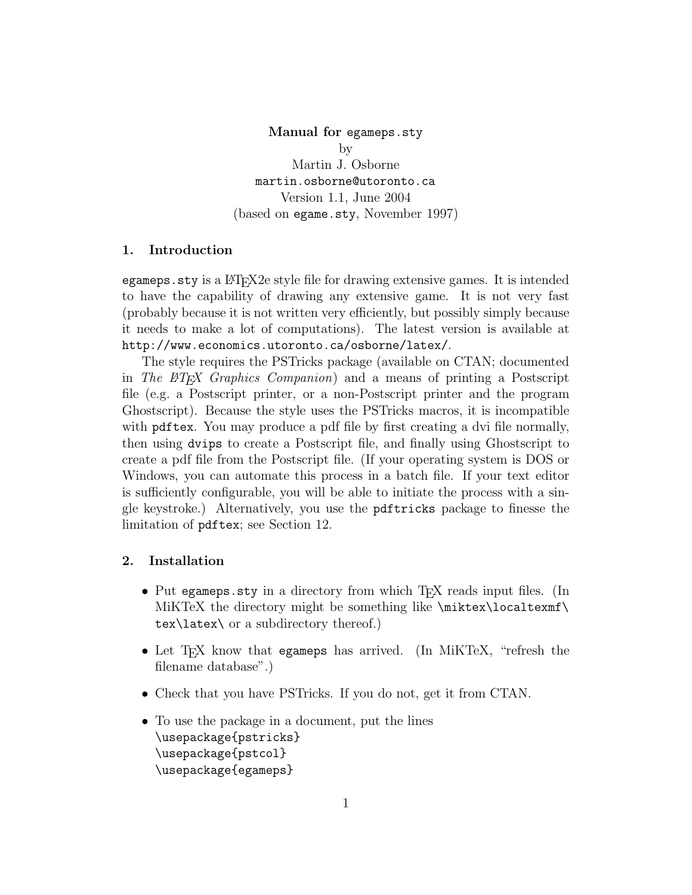Manual for egameps.sty by Martin J. Osborne martin.osborne@utoronto.ca Version 1.1, June 2004 (based on egame.sty, November 1997)

#### 1. Introduction

egameps. sty is a LAT<sub>EX</sub>2e style file for drawing extensive games. It is intended to have the capability of drawing any extensive game. It is not very fast (probably because it is not written very efficiently, but possibly simply because it needs to make a lot of computations). The latest version is available at http://www.economics.utoronto.ca/osborne/latex/.

The style requires the PSTricks package (available on CTAN; documented in The ET<sub>F</sub>X Graphics Companion) and a means of printing a Postscript file (e.g. a Postscript printer, or a non-Postscript printer and the program Ghostscript). Because the style uses the PSTricks macros, it is incompatible with pdftex. You may produce a pdf file by first creating a dvi file normally, then using dvips to create a Postscript file, and finally using Ghostscript to create a pdf file from the Postscript file. (If your operating system is DOS or Windows, you can automate this process in a batch file. If your text editor is sufficiently configurable, you will be able to initiate the process with a single keystroke.) Alternatively, you use the pdftricks package to finesse the limitation of pdftex; see Section 12.

# 2. Installation

- Put egameps sty in a directory from which T<sub>F</sub>X reads input files. (In MiKTeX the directory might be something like  $\text{electrons}$  $text\{text\}$  or a subdirectory thereof.)
- Let T<sub>EX</sub> know that egameps has arrived. (In MiKTeX, "refresh the filename database".)
- Check that you have PSTricks. If you do not, get it from CTAN.
- To use the package in a document, put the lines \usepackage{pstricks} \usepackage{pstcol} \usepackage{egameps}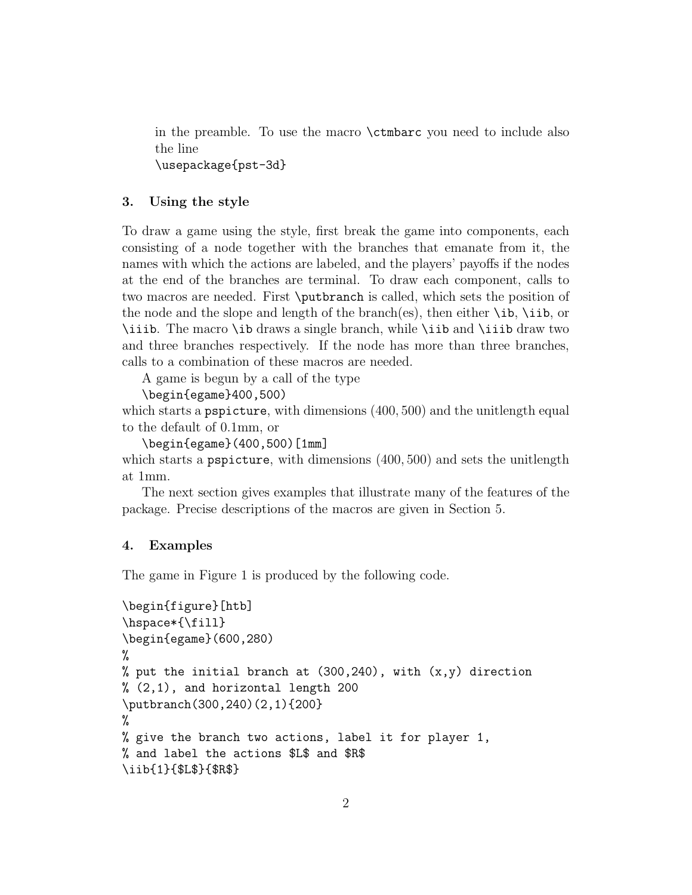in the preamble. To use the macro \ctmbarc you need to include also the line \usepackage{pst-3d}

# 3. Using the style

To draw a game using the style, first break the game into components, each consisting of a node together with the branches that emanate from it, the names with which the actions are labeled, and the players' payoffs if the nodes at the end of the branches are terminal. To draw each component, calls to two macros are needed. First \putbranch is called, which sets the position of the node and the slope and length of the branch(es), then either \ib, \iib, or \iiib. The macro \ib draws a single branch, while \iib and \iiib draw two and three branches respectively. If the node has more than three branches, calls to a combination of these macros are needed.

A game is begun by a call of the type

```
\begin{egame}400,500)
```
which starts a **pspicture**, with dimensions (400, 500) and the unitlength equal to the default of 0.1mm, or

```
\begin{egame}(400,500)[1mm]
```
which starts a pspicture, with dimensions  $(400, 500)$  and sets the unitlength at 1mm.

The next section gives examples that illustrate many of the features of the package. Precise descriptions of the macros are given in Section 5.

# 4. Examples

The game in Figure 1 is produced by the following code.

```
\begin{figure}[htb]
\hspace*{\fill}
\begin{egame}(600,280)
%
% put the initial branch at (300, 240), with (x, y) direction
\% (2,1), and horizontal length 200
\putbranch(300,240)(2,1){200}
%
% give the branch two actions, label it for player 1,
% and label the actions $L$ and $R$
\iib{1}{$L$}{$R$}
```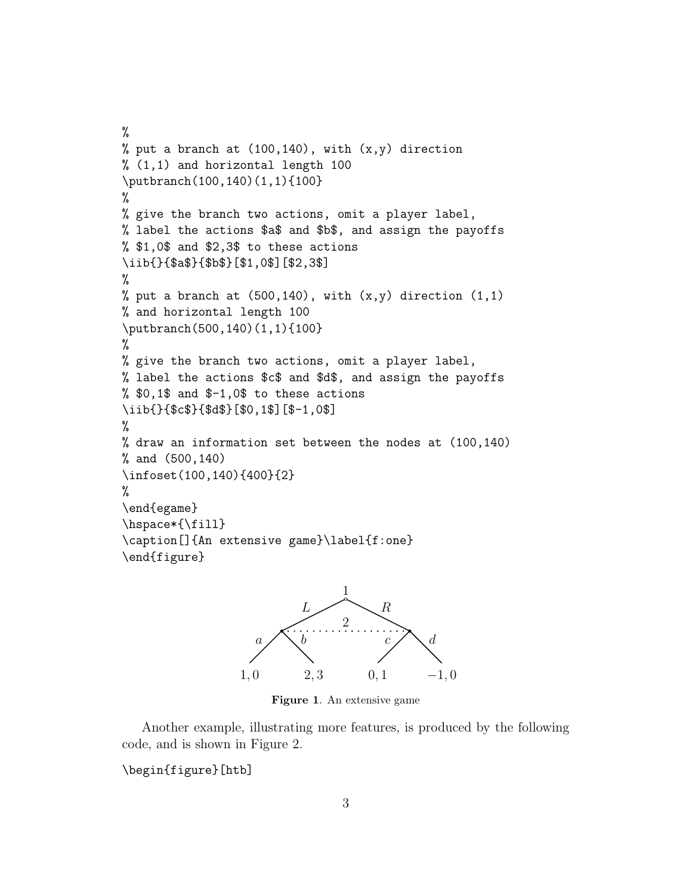```
%
% put a branch at (100, 140), with (x, y) direction
% (1,1) and horizontal length 100
\putbranch(100,140)(1,1){100}
%
% give the branch two actions, omit a player label,
% label the actions $a$ and $b$, and assign the payoffs
% $1,0$ and $2,3$ to these actions
\iib{}{$a$}{$b$}[$1,0$][$2,3$]
%
% put a branch at (500, 140), with (x, y) direction (1, 1)% and horizontal length 100
\putbranch(500,140)(1,1){100}
%
% give the branch two actions, omit a player label,
% label the actions $c$ and $d$, and assign the payoffs
% $0,1$ and $-1,0$ to these actions
\iib{}{$c$}{$d$}[$0,1$][$-1,0$]
%
% draw an information set between the nodes at (100,140)
% and (500,140)
\infoset(100,140){400}{2}
%
\end{egame}
\hspace*{\fill}
\caption[]{An extensive game}\label{f:one}
\end{figure}
```


Figure 1. An extensive game

Another example, illustrating more features, is produced by the following code, and is shown in Figure 2.

\begin{figure}[htb]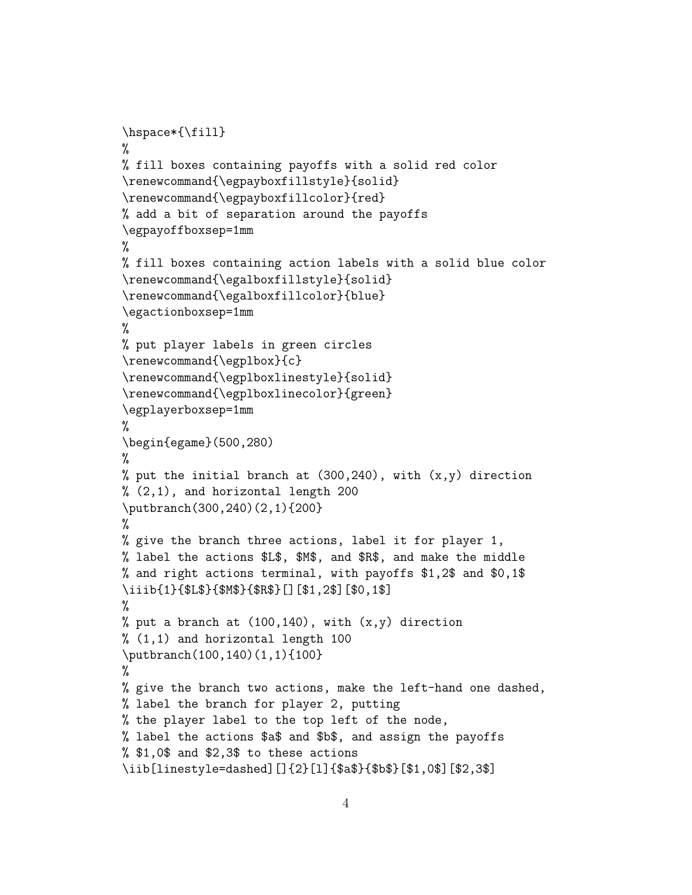```
\hspace*{\fill}
%
% fill boxes containing payoffs with a solid red color
\renewcommand{\egpayboxfillstyle}{solid}
\renewcommand{\egpayboxfillcolor}{red}
% add a bit of separation around the payoffs
\egpayoffboxsep=1mm
%
% fill boxes containing action labels with a solid blue color
\renewcommand{\egalboxfillstyle}{solid}
\renewcommand{\egalboxfillcolor}{blue}
\egactionboxsep=1mm
%
% put player labels in green circles
\renewcommand{\egplbox}{c}
\renewcommand{\egplboxlinestyle}{solid}
\renewcommand{\egplboxlinecolor}{green}
\egplayerboxsep=1mm
%
\begin{egame}(500,280)
%
% put the initial branch at (300, 240), with (x, y) direction
\% (2,1), and horizontal length 200
\putbranch(300,240)(2,1){200}
%
% give the branch three actions, label it for player 1,
% label the actions $L$, $M$, and $R$, and make the middle
% and right actions terminal, with payoffs $1,2$ and $0,1$
\iiib{1}{$L$}{$M$}{$R$}[][$1,2$][$0,1$]
%
% put a branch at (100, 140), with (x, y) direction
% (1,1) and horizontal length 100
\putbranch(100,140)(1,1){100}
%
% give the branch two actions, make the left-hand one dashed,
% label the branch for player 2, putting
% the player label to the top left of the node,
% label the actions $a$ and $b$, and assign the payoffs
% $1,0$ and $2,3$ to these actions
\iib[linestyle=dashed][]{2}[l]{$a$}{$b$}[$1,0$][$2,3$]
```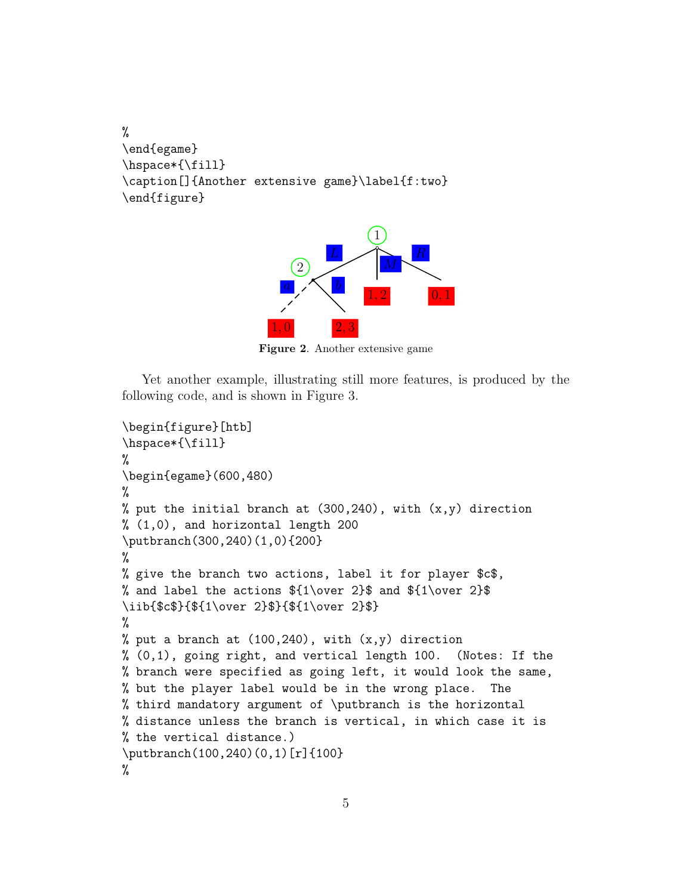```
%
\end{egame}
\hspace*{\fill}
\caption[]{Another extensive game}\label{f:two}
\end{figure}
```


Figure 2. Another extensive game

Yet another example, illustrating still more features, is produced by the following code, and is shown in Figure 3.

```
\begin{figure}[htb]
\hspace*{\fill}
%
\begin{egame}(600,480)
%
% put the initial branch at (300, 240), with (x, y) direction
% (1,0), and horizontal length 200
\putbranch(300,240)(1,0){200}
%
% give the branch two actions, label it for player $c$,
% and label the actions ${1\over 2}$ and ${1\over 2}$
\iib{$c$}{${1\over 2}$}{${1\over 2}$}
%
% put a branch at (100, 240), with (x, y) direction
% (0,1), going right, and vertical length 100. (Notes: If the
% branch were specified as going left, it would look the same,
% but the player label would be in the wrong place. The
% third mandatory argument of \putbranch is the horizontal
% distance unless the branch is vertical, in which case it is
% the vertical distance.)
\putbranch(100,240)(0,1)[r]{100}
%
```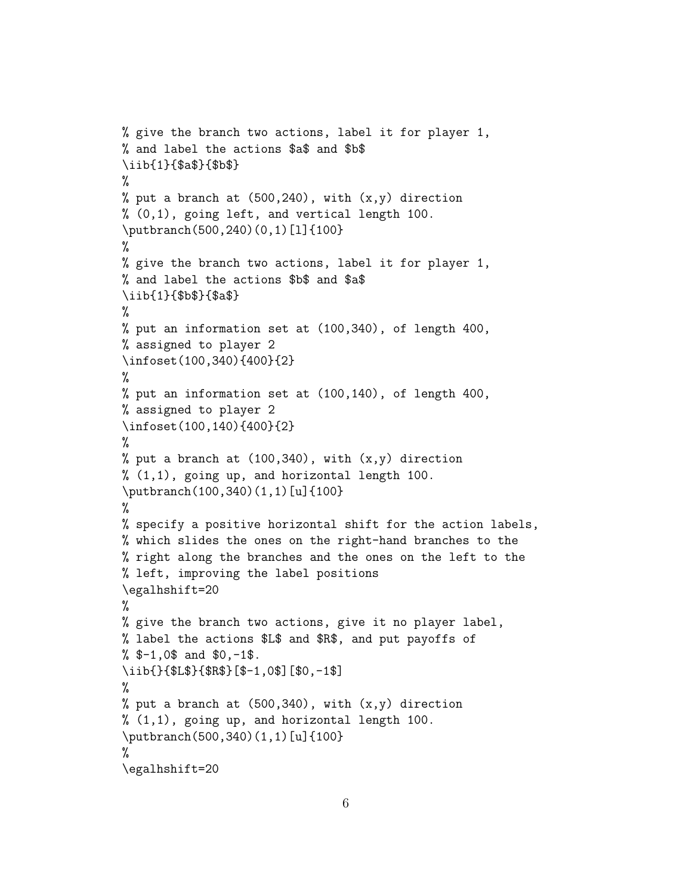```
% give the branch two actions, label it for player 1,
% and label the actions $a$ and $b$
\iib{1}{$a$}{$b$}
%
% put a branch at (500, 240), with (x, y) direction
% (0,1), going left, and vertical length 100.
\putbranch(500,240)(0,1)[l]{100}
%
% give the branch two actions, label it for player 1,
% and label the actions $b$ and $a$
\iib{1}{$b$}{$a$}
%
% put an information set at (100,340), of length 400,
% assigned to player 2
\infoset(100,340){400}{2}
%
% put an information set at (100,140), of length 400,
% assigned to player 2
\infoset(100,140){400}{2}
%
% put a branch at (100, 340), with (x, y) direction
% (1,1), going up, and horizontal length 100.
\putbranch(100,340)(1,1)[u]{100}
%
% specify a positive horizontal shift for the action labels,
% which slides the ones on the right-hand branches to the
% right along the branches and the ones on the left to the
% left, improving the label positions
\egalhshift=20
%
% give the branch two actions, give it no player label,
% label the actions $L$ and $R$, and put payoffs of
% $-1,0$ and $0,-1$.
\iib{}{$L$}{$R$}[$-1,0$][$0,-1$]
%
% put a branch at (500, 340), with (x, y) direction
% (1,1), going up, and horizontal length 100.
\putbranch(500,340)(1,1)[u]{100}
%
\egalhshift=20
```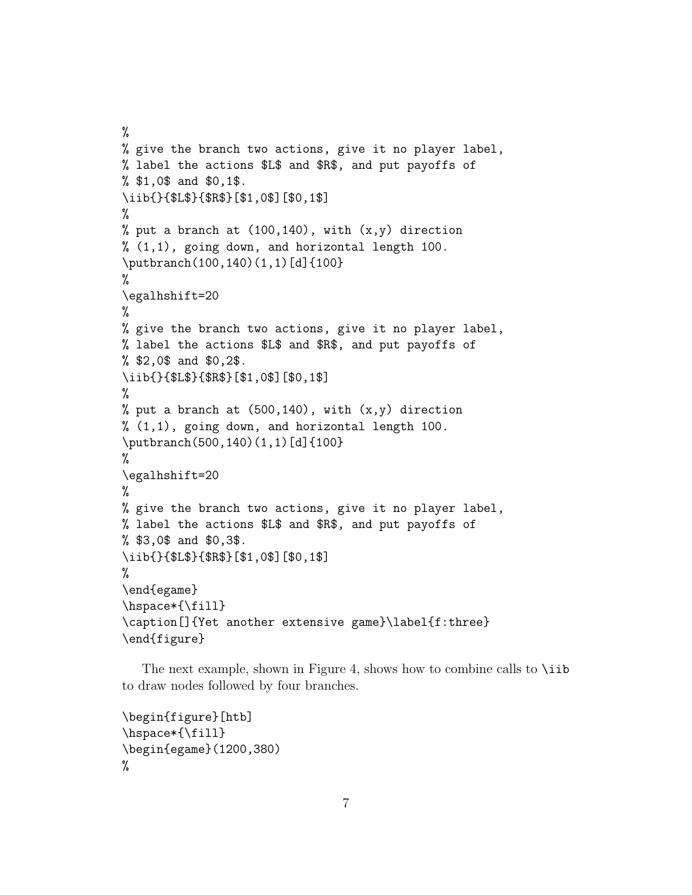```
%
% give the branch two actions, give it no player label,
% label the actions $L$ and $R$, and put payoffs of
% $1,0$ and $0,1$.
\iib{}{$L$}{$R$}[$1,0$][$0,1$]
%
% put a branch at (100, 140), with (x, y) direction
% (1,1), going down, and horizontal length 100.
\putbranch(100,140)(1,1)[d]{100}
%
\egalhshift=20
%
% give the branch two actions, give it no player label,
% label the actions $L$ and $R$, and put payoffs of
% $2,0$ and $0,2$.
\iib{}{$L$}{$R$}[$1,0$][$0,1$]
%
% put a branch at (500, 140), with (x, y) direction
% (1,1), going down, and horizontal length 100.
\putbranch(500,140)(1,1)[d]{100}
%
\egalhshift=20
%
% give the branch two actions, give it no player label,
% label the actions $L$ and $R$, and put payoffs of
% $3,0$ and $0,3$.
\iib{}{$L$}{$R$}[$1,0$][$0,1$]
%
\end{egame}
\hspace*{\fill}
\caption[]{Yet another extensive game}\label{f:three}
\end{figure}
```
The next example, shown in Figure 4, shows how to combine calls to  $\tilde{\iota}$ ib to draw nodes followed by four branches.

```
\begin{figure}[htb]
\hspace*{\fill}
\begin{egame}(1200,380)
%
```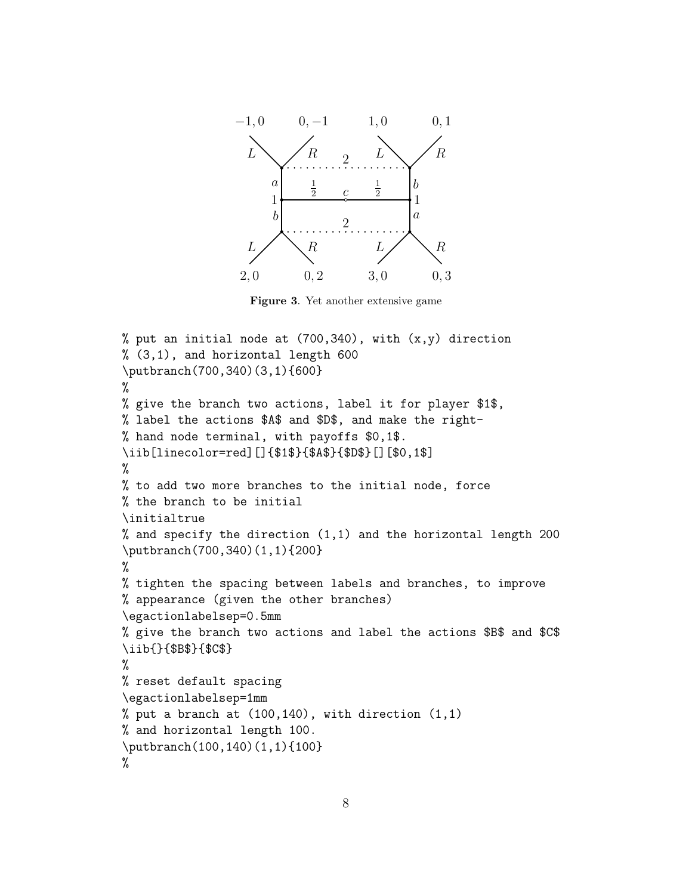

Figure 3. Yet another extensive game

```
% put an initial node at (700, 340), with (x, y) direction
% (3,1), and horizontal length 600
\putbranch(700,340)(3,1){600}
%
% give the branch two actions, label it for player $1$,
% label the actions $A$ and $D$, and make the right-
% hand node terminal, with payoffs $0,1$.
\iib[linecolor=red][]{$1$}{$A$}{$D$}[][$0,1$]
%
% to add two more branches to the initial node, force
% the branch to be initial
\initialtrue
% and specify the direction (1,1) and the horizontal length 200
\putbranch(700,340)(1,1){200}
%
% tighten the spacing between labels and branches, to improve
% appearance (given the other branches)
\egactionlabelsep=0.5mm
% give the branch two actions and label the actions $B$ and $C$
\iib{}{$B$}{$C$}
%
% reset default spacing
\egactionlabelsep=1mm
% put a branch at (100, 140), with direction (1,1)% and horizontal length 100.
\putbranch(100,140)(1,1){100}
%
```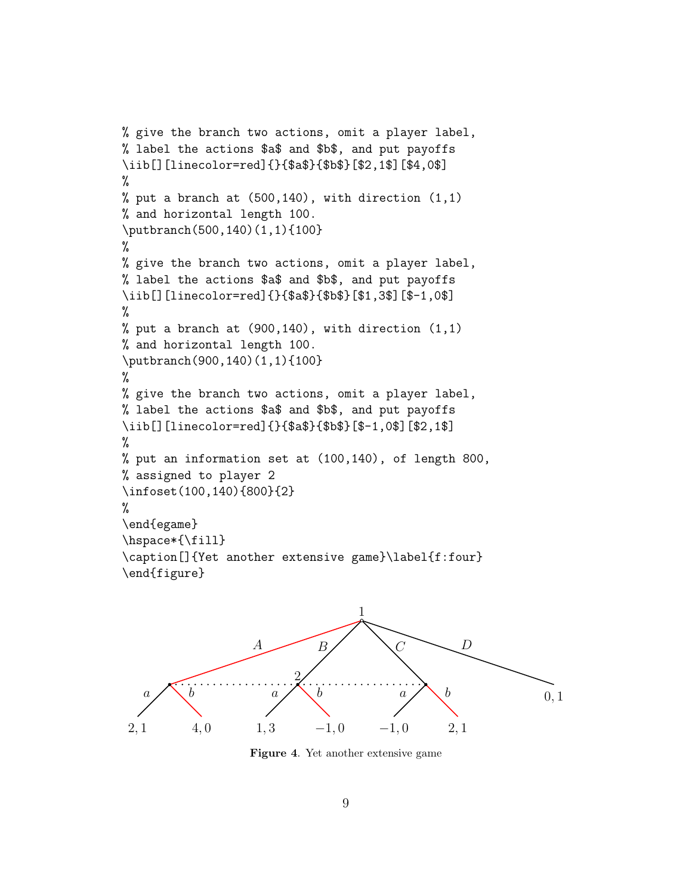```
% give the branch two actions, omit a player label,
% label the actions $a$ and $b$, and put payoffs
\iib[][linecolor=red]{}{$a$}{$b$}[$2,1$][$4,0$]
%
% put a branch at (500, 140), with direction (1,1)% and horizontal length 100.
\putbranch(500,140)(1,1){100}
%
% give the branch two actions, omit a player label,
% label the actions $a$ and $b$, and put payoffs
\iib[][linecolor=red]{}{$a$}{$b$}[$1,3$][$-1,0$]
%
% put a branch at (900, 140), with direction (1,1)% and horizontal length 100.
\putbranch(900,140)(1,1){100}
%
% give the branch two actions, omit a player label,
% label the actions $a$ and $b$, and put payoffs
\iib[][linecolor=red]{}{$a$}{$b$}[$-1,0$][$2,1$]
%
% put an information set at (100,140), of length 800,
% assigned to player 2
\infoset(100,140){800}{2}
%
\end{egame}
\hspace*{\fill}
\caption[]{Yet another extensive game}\label{f:four}
\end{figure}
```


Figure 4. Yet another extensive game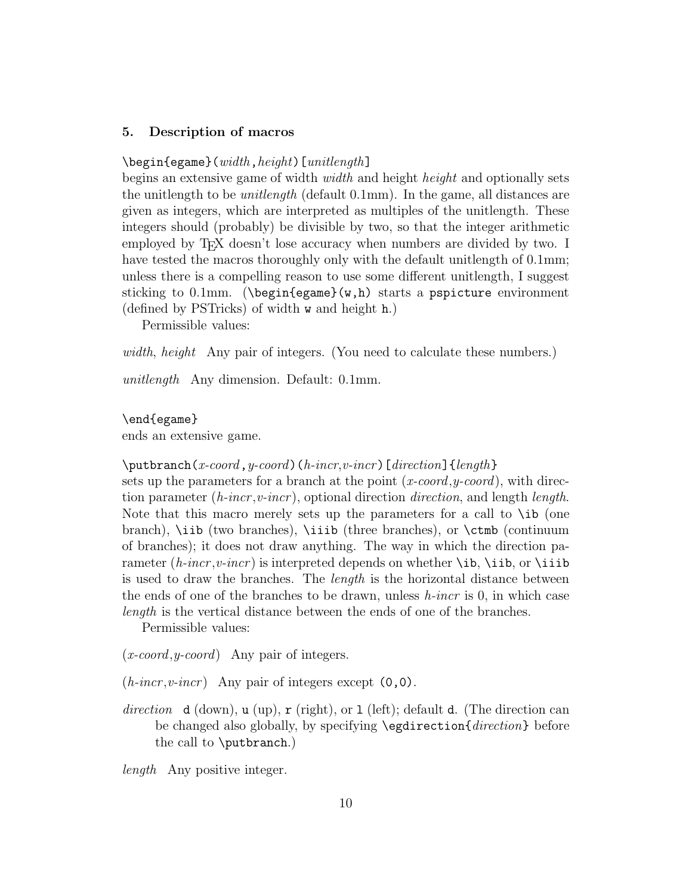### 5. Description of macros

### $\begin{bmatrix}$  \begin{egame}(*width*, height)[*unitlength*]

begins an extensive game of width *width* and height *height* and optionally sets the unitlength to be *unitlength* (default  $0.1 \text{mm}$ ). In the game, all distances are given as integers, which are interpreted as multiples of the unitlength. These integers should (probably) be divisible by two, so that the integer arithmetic employed by T<sub>EX</sub> doesn't lose accuracy when numbers are divided by two. I have tested the macros thoroughly only with the default unitlength of 0.1mm; unless there is a compelling reason to use some different unitlength, I suggest sticking to 0.1mm. ( $\begin{cases} w,h \end{cases}$  starts a pspicture environment (defined by PSTricks) of width w and height h.)

Permissible values:

width, height Any pair of integers. (You need to calculate these numbers.)

unitlength Any dimension. Default: 0.1mm.

\end{egame}

ends an extensive game.

#### $\putbranch(x-coord, y-coord)$  (h-incr, v-incr) [direction] {length}

sets up the parameters for a branch at the point  $(x\text{-}coord, y\text{-}coord)$ , with direction parameter (*h-incr*, *v-incr*), optional direction *direction*, and length *length*. Note that this macro merely sets up the parameters for a call to  $\iota$  to (one branch), \iib (two branches), \iiib (three branches), or \ctmb (continuum of branches); it does not draw anything. The way in which the direction parameter (*h-incr*, *v-incr*) is interpreted depends on whether  $\iota$ ib,  $\iota$ iib, or  $\iota$ iib is used to draw the branches. The *length* is the horizontal distance between the ends of one of the branches to be drawn, unless  $h\text{-}incr$  is 0, in which case length is the vertical distance between the ends of one of the branches.

Permissible values:

 $(x\text{-}coord, y\text{-}coord)$  Any pair of integers.

 $(h\text{-}incr, v\text{-}incr)$  Any pair of integers except  $(0,0)$ .

direction d (down),  $u \text{ (up)}$ ,  $r \text{ (right)}$ , or 1 (left); default d. (The direction can be changed also globally, by specifying \egdirection{direction} before the call to \putbranch.)

length Any positive integer.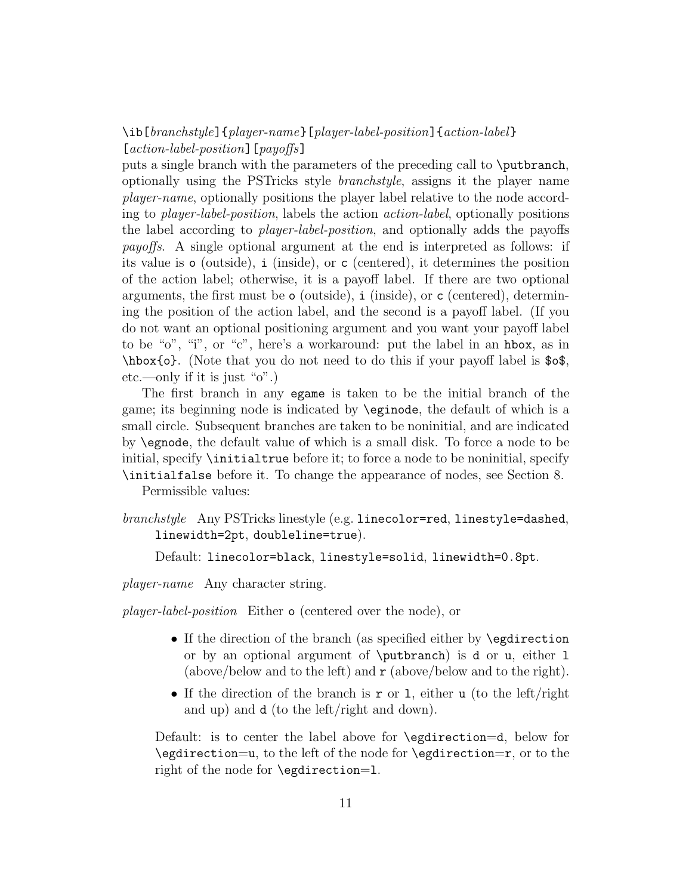\ib[branchstyle]{player-name}[player-label-position]{action-label} [action-label-position] [payoffs]

puts a single branch with the parameters of the preceding call to \putbranch, optionally using the PSTricks style branchstyle, assigns it the player name player-name, optionally positions the player label relative to the node according to player-label-position, labels the action action-label, optionally positions the label according to player-label-position, and optionally adds the payoffs payoffs. A single optional argument at the end is interpreted as follows: if its value is o (outside), i (inside), or c (centered), it determines the position of the action label; otherwise, it is a payoff label. If there are two optional arguments, the first must be  $\circ$  (outside), i (inside), or c (centered), determining the position of the action label, and the second is a payoff label. (If you do not want an optional positioning argument and you want your payoff label to be "o", "i", or "c", here's a workaround: put the label in an hbox, as in \hbox{o}. (Note that you do not need to do this if your payoff label is \$o\$, etc.—only if it is just "o".)

The first branch in any egame is taken to be the initial branch of the game; its beginning node is indicated by \eginode, the default of which is a small circle. Subsequent branches are taken to be noninitial, and are indicated by \egnode, the default value of which is a small disk. To force a node to be initial, specify \initialtrue before it; to force a node to be noninitial, specify \initialfalse before it. To change the appearance of nodes, see Section 8.

Permissible values:

branchstyle Any PSTricks linestyle (e.g. linecolor=red, linestyle=dashed, linewidth=2pt, doubleline=true).

Default: linecolor=black, linestyle=solid, linewidth=0.8pt.

player-name Any character string.

player-label-position Either o (centered over the node), or

- If the direction of the branch (as specified either by **\egdirection** or by an optional argument of \putbranch) is d or u, either l (above/below and to the left) and  $\mathbf r$  (above/below and to the right).
- If the direction of the branch is r or 1, either u (to the left/right and up) and d (to the left/right and down).

Default: is to center the label above for \egdirection=d, below for \egdirection=u, to the left of the node for \egdirection=r, or to the right of the node for \egdirection=l.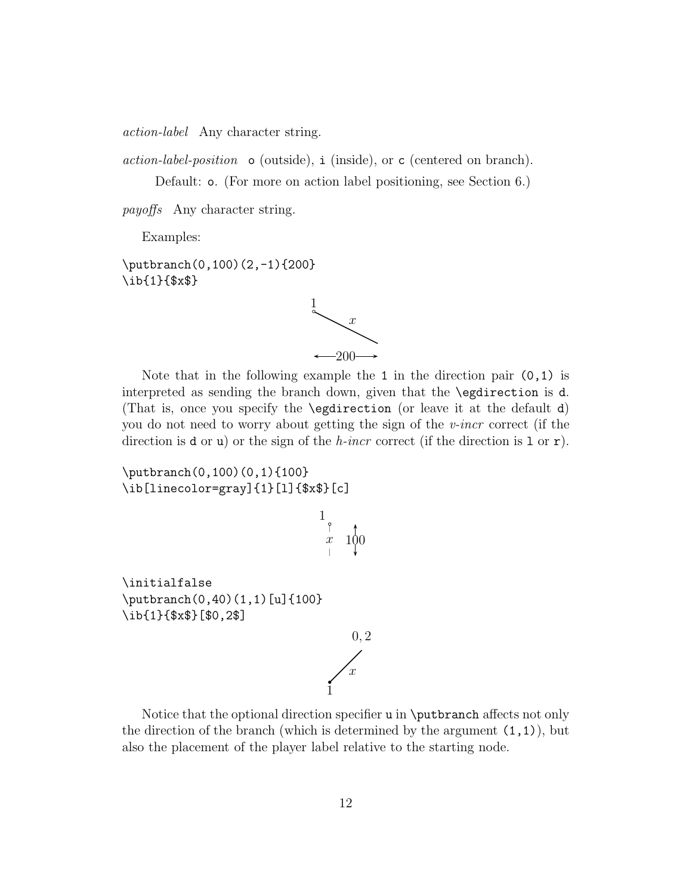action-label Any character string.

action-label-position o (outside), i (inside), or c (centered on branch).

Default: o. (For more on action label positioning, see Section 6.)

payoffs Any character string.

Examples:

\putbranch(0,100)(2,-1){200} \ib{1}{\$x\$}

 $\overline{x}$ 1  $-200 \rightarrow$ 

Note that in the following example the 1 in the direction pair  $(0,1)$  is interpreted as sending the branch down, given that the \egdirection is d. (That is, once you specify the \egdirection (or leave it at the default d) you do not need to worry about getting the sign of the v-incr correct (if the direction is **d** or **u**) or the sign of the *h*-incr correct (if the direction is 1 or **r**).

\putbranch(0,100)(0,1){100} \ib[linecolor=gray]{1}[l]{\$x\$}[c]



Notice that the optional direction specifier u in \putbranch affects not only the direction of the branch (which is determined by the argument  $(1,1)$ ), but also the placement of the player label relative to the starting node.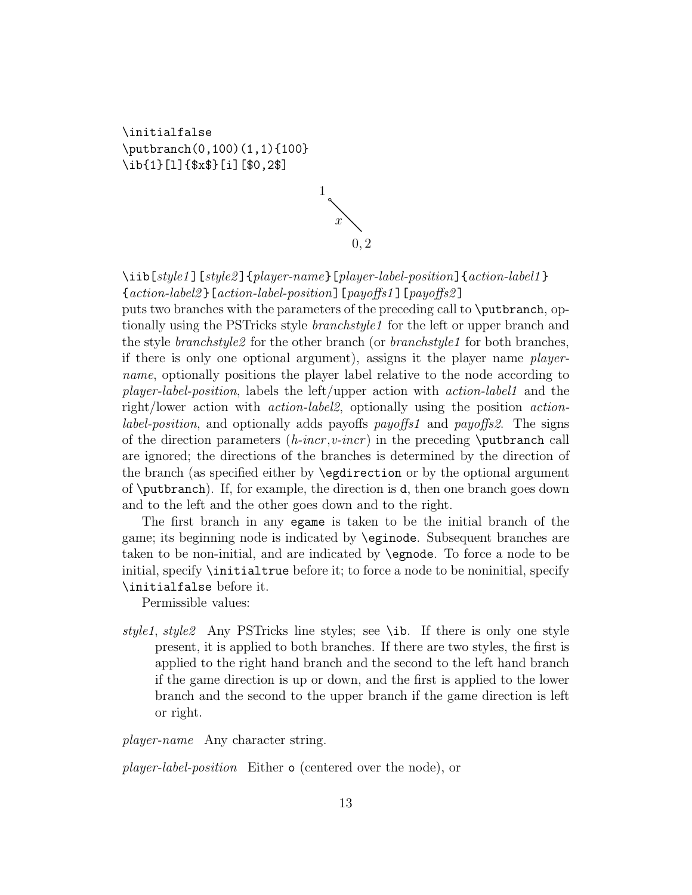\initialfalse \putbranch(0,100)(1,1){100} \ib{1}[l]{\$x\$}[i][\$0,2\$]



\iib[style1][style2]{player-name}[player-label-position]{action-label1}\ {action-label2 }[action-label-position][payoffs1 ][payoffs2 ]

puts two branches with the parameters of the preceding call to \putbranch, optionally using the PST ricks style *branchstyle1* for the left or upper branch and the style *branchstyle2* for the other branch (or *branchstyle1* for both branches, if there is only one optional argument), assigns it the player name playername, optionally positions the player label relative to the node according to player-label-position, labels the left/upper action with action-label1 and the right/lower action with action-label2, optionally using the position action*label-position*, and optionally adds payoffs payoffs1 and payoffs2. The signs of the direction parameters  $(h\text{-}incr, v\text{-}incr)$  in the preceding **\putbranch** call are ignored; the directions of the branches is determined by the direction of the branch (as specified either by \egdirection or by the optional argument of \putbranch). If, for example, the direction is d, then one branch goes down and to the left and the other goes down and to the right.

The first branch in any egame is taken to be the initial branch of the game; its beginning node is indicated by \eginode. Subsequent branches are taken to be non-initial, and are indicated by \egnode. To force a node to be initial, specify \initialtrue before it; to force a node to be noninitial, specify \initialfalse before it.

Permissible values:

style1, style2 Any PSTricks line styles; see \ib. If there is only one style present, it is applied to both branches. If there are two styles, the first is applied to the right hand branch and the second to the left hand branch if the game direction is up or down, and the first is applied to the lower branch and the second to the upper branch if the game direction is left or right.

player-name Any character string.

player-label-position Either o (centered over the node), or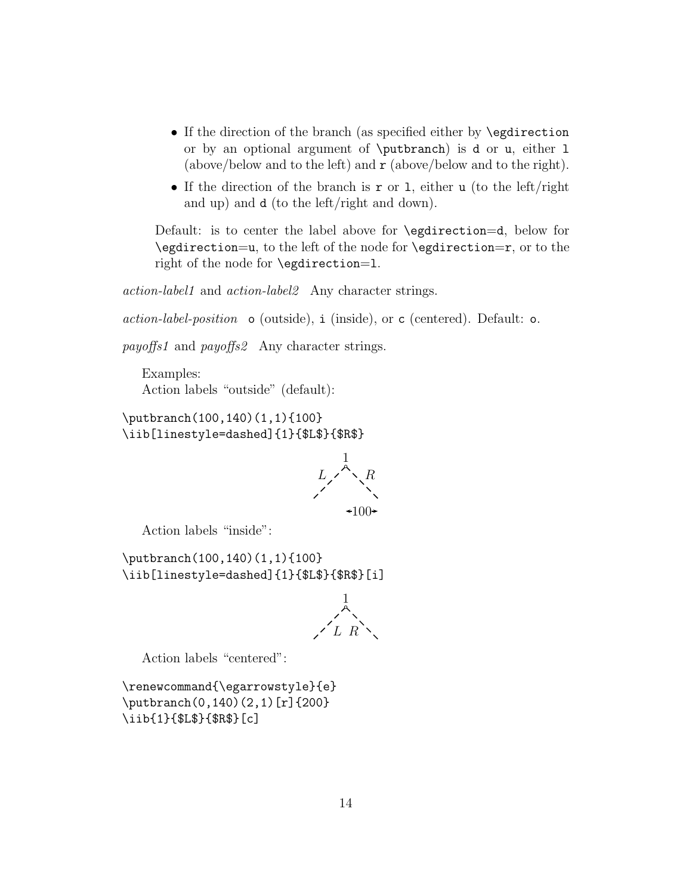- If the direction of the branch (as specified either by \egdirection or by an optional argument of \putbranch) is d or u, either l (above/below and to the left) and  $\mathbf r$  (above/below and to the right).
- If the direction of the branch is  $\mathbf r$  or 1, either u (to the left/right and up) and d (to the left/right and down).

Default: is to center the label above for \egdirection=d, below for \egdirection=u, to the left of the node for \egdirection=r, or to the right of the node for \egdirection=l.

action-label1 and action-label2 Any character strings.

 $action-label-position \circ (outside), i (inside), or c (centered). Default: o.$ 

payoffs1 and payoffs2 Any character strings.

Examples: Action labels "outside" (default):

\putbranch(100,140)(1,1){100} \iib[linestyle=dashed]{1}{\$L\$}{\$R\$}



Action labels "inside":

\putbranch(100,140)(1,1){100} \iib[linestyle=dashed]{1}{\$L\$}{\$R\$}[i]



Action labels "centered":

\renewcommand{\egarrowstyle}{e} \putbranch(0,140)(2,1)[r]{200} \iib{1}{\$L\$}{\$R\$}[c]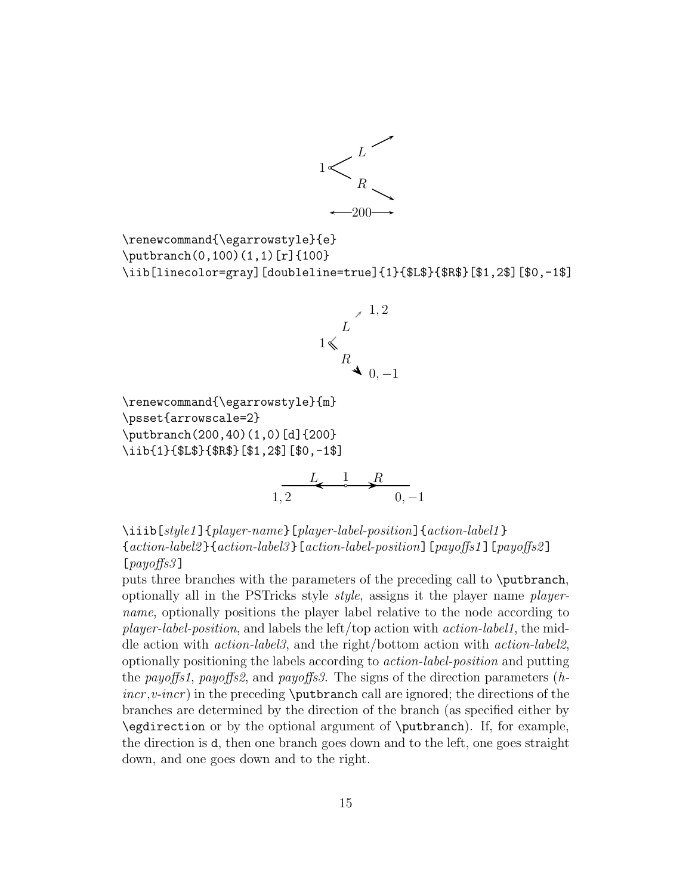

```
\renewcommand{\egarrowstyle}{e}
\putbranch(0,100)(1,1)[r]{100}
\iib[linecolor=gray][doubleline=true]{1}{$L$}{$R$}[$1,2$][$0,-1$]
```


\renewcommand{\egarrowstyle}{m} \psset{arrowscale=2} \putbranch(200,40)(1,0)[d]{200} \iib{1}{\$L\$}{\$R\$}[\$1,2\$][\$0,-1\$] R L 1



\iiib[style1]{player-name}[player-label-position]{action-label1} {action-label2 }{action-label3 }[action-label-position][payoffs1 ][payoffs2 ]  $[payof 53]$ 

puts three branches with the parameters of the preceding call to \putbranch, optionally all in the PSTricks style style, assigns it the player name playername, optionally positions the player label relative to the node according to player-label-position, and labels the left/top action with action-label1, the middle action with action-label3, and the right/bottom action with action-label2, optionally positioning the labels according to action-label-position and putting the payoffs1, payoffs2, and payoffs3. The signs of the direction parameters  $(h$  $incr, v\text{-}incr$ ) in the preceding **\putbranch** call are ignored; the directions of the branches are determined by the direction of the branch (as specified either by \egdirection or by the optional argument of \putbranch). If, for example, the direction is d, then one branch goes down and to the left, one goes straight down, and one goes down and to the right.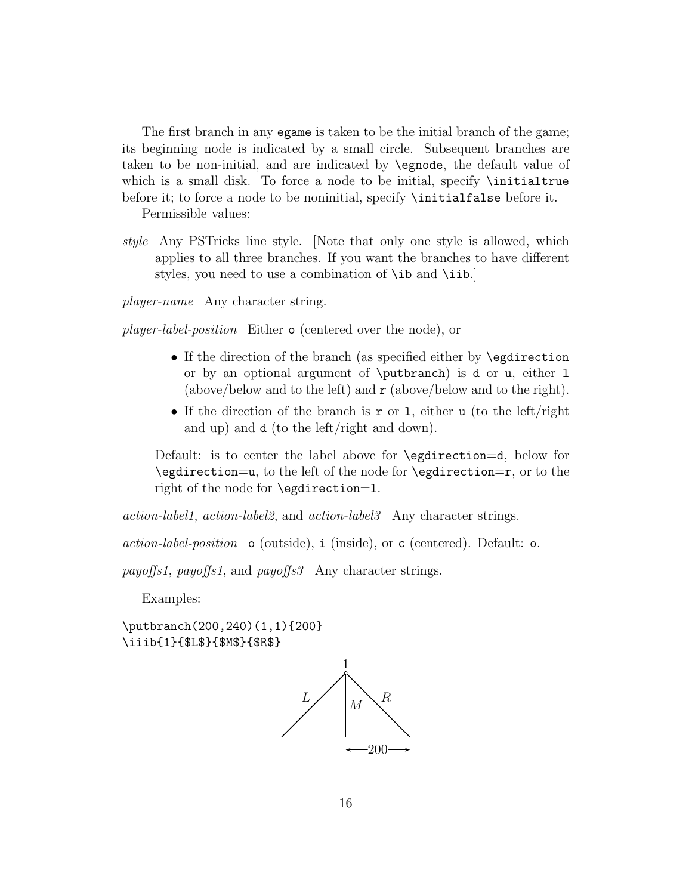The first branch in any egame is taken to be the initial branch of the game; its beginning node is indicated by a small circle. Subsequent branches are taken to be non-initial, and are indicated by \egnode, the default value of which is a small disk. To force a node to be initial, specify **\initialtrue** before it; to force a node to be noninitial, specify **\initialfalse** before it.

Permissible values:

style Any PSTricks line style. [Note that only one style is allowed, which applies to all three branches. If you want the branches to have different styles, you need to use a combination of \ib and \iib.

player-name Any character string.

player-label-position Either o (centered over the node), or

- If the direction of the branch (as specified either by **\egdirection** or by an optional argument of \putbranch) is d or u, either l (above/below and to the left) and  $\mathbf r$  (above/below and to the right).
- If the direction of the branch is r or 1, either u (to the left/right and up) and d (to the left/right and down).

Default: is to center the label above for \egdirection=d, below for \egdirection=u, to the left of the node for \egdirection=r, or to the right of the node for \egdirection=l.

action-label1, action-label2, and action-label3 Any character strings.

 $action-label-position \circ (outside), i (inside), or c (centered). Default: o.$ 

payoffs1, payoffs1, and payoffs3 Any character strings.

Examples:

\putbranch(200,240)(1,1){200} \iiib{1}{\$L\$}{\$M\$}{\$R\$}

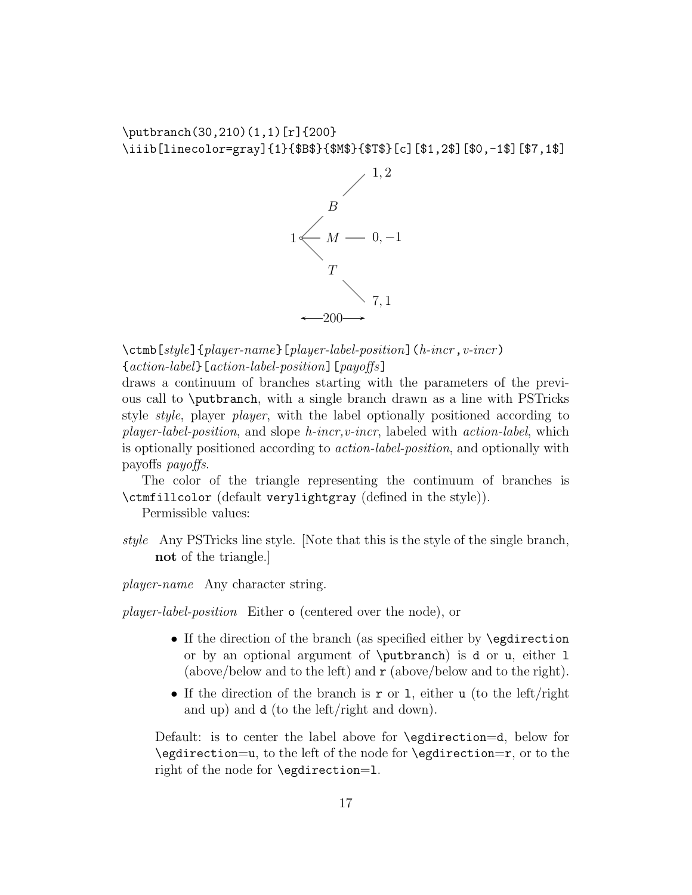\putbranch(30,210)(1,1)[r]{200} \iiib[linecolor=gray]{1}{\$B\$}{\$M\$}{\$T\$}[c][\$1,2\$][\$0,-1\$][\$7,1\$]



 $\{\text{ctmb}[style]\}$  (player-name}[player-label-position](h-incr, v-incr) {action-label}[action-label-position][payoffs]

draws a continuum of branches starting with the parameters of the previous call to \putbranch, with a single branch drawn as a line with PSTricks style style, player player, with the label optionally positioned according to  $player-label-position$ , and slope  $h\text{-}incr, v\text{-}incr$ , labeled with  $action\text{-}label$ , which is optionally positioned according to *action-label-position*, and optionally with payoffs payoffs.

The color of the triangle representing the continuum of branches is \ctmfillcolor (default verylightgray (defined in the style)).

Permissible values:

style Any PSTricks line style. [Note that this is the style of the single branch, not of the triangle.]

player-name Any character string.

player-label-position Either o (centered over the node), or

- If the direction of the branch (as specified either by **\egdirection** or by an optional argument of \putbranch) is d or u, either l (above/below and to the left) and  $\mathbf r$  (above/below and to the right).
- If the direction of the branch is r or 1, either u (to the left/right and up) and d (to the left/right and down).

Default: is to center the label above for \egdirection=d, below for \egdirection=u, to the left of the node for \egdirection=r, or to the right of the node for \egdirection=l.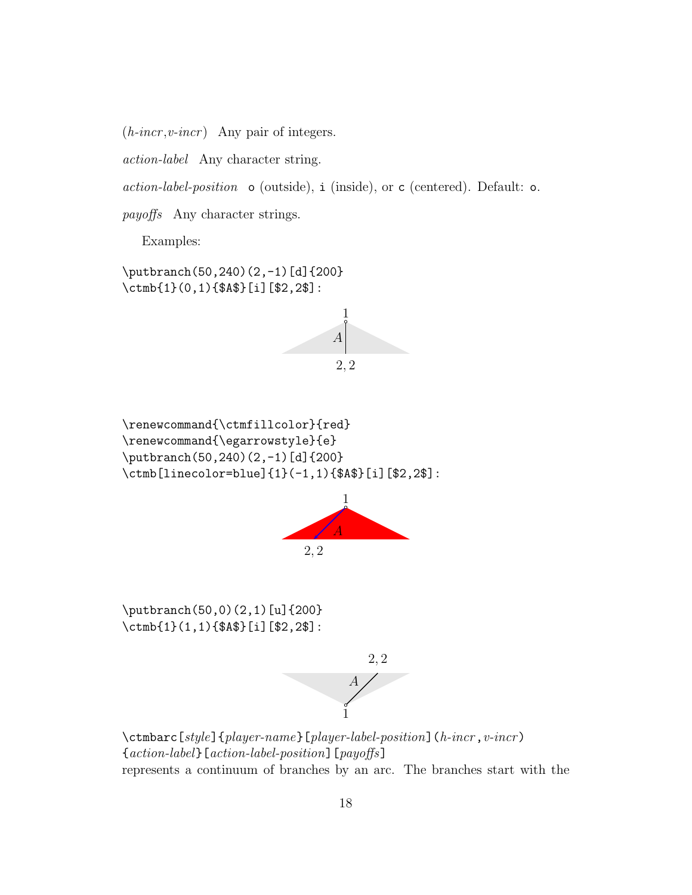$(h\text{-}incr, v\text{-}incr)$  Any pair of integers.

action-label Any character string.

 $action-label-position$  o (outside), i (inside), or c (centered). Default: o.

payoffs Any character strings.

Examples:

\putbranch(50,240)(2,-1)[d]{200} \ctmb{1}(0,1){\$A\$}[i][\$2,2\$]:



\renewcommand{\ctmfillcolor}{red} \renewcommand{\egarrowstyle}{e} \putbranch(50,240)(2,-1)[d]{200} \ctmb[linecolor=blue]{1}(-1,1){\$A\$}[i][\$2,2\$]:



\putbranch(50,0)(2,1)[u]{200} \ctmb{1}(1,1){\$A\$}[i][\$2,2\$]:



 $\verb|\ctmbarc[style]{\{player-name\}[player-label-position]{(h-incr, v-incr)}$ {action-label}[action-label-position][payoffs] represents a continuum of branches by an arc. The branches start with the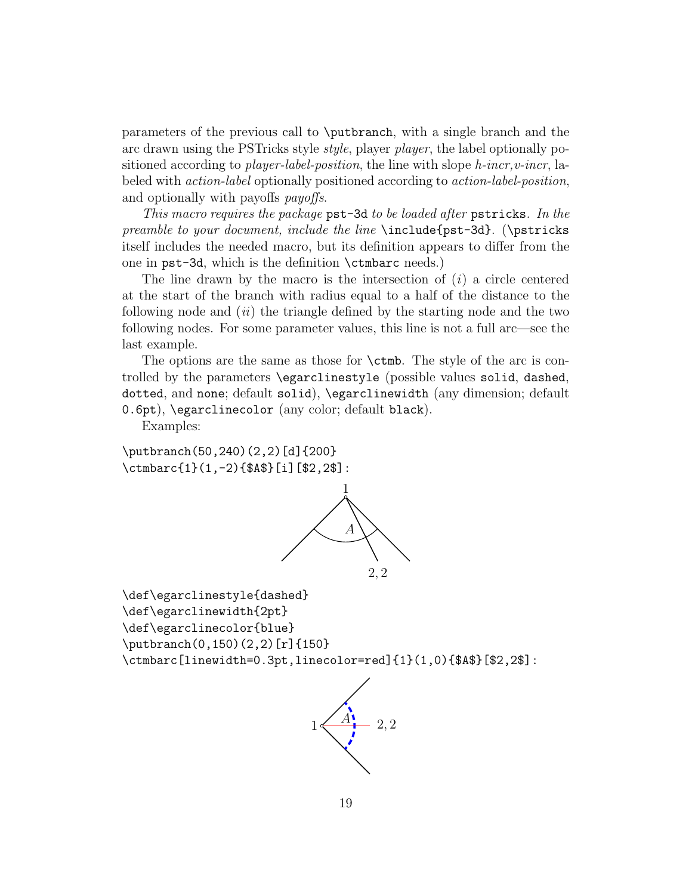parameters of the previous call to \putbranch, with a single branch and the arc drawn using the PSTricks style style, player player, the label optionally positioned according to *player-label-position*, the line with slope  $h$ -incr,  $v$ -incr, labeled with action-label optionally positioned according to action-label-position, and optionally with payoffs *payoffs*.

This macro requires the package pst-3d to be loaded after pstricks. In the preamble to your document, include the line \include{pst-3d}. (\pstricks itself includes the needed macro, but its definition appears to differ from the one in pst-3d, which is the definition \ctmbarc needs.)

The line drawn by the macro is the intersection of  $(i)$  a circle centered at the start of the branch with radius equal to a half of the distance to the following node and  $(ii)$  the triangle defined by the starting node and the two following nodes. For some parameter values, this line is not a full arc—see the last example.

The options are the same as those for \ctmb. The style of the arc is controlled by the parameters \egarclinestyle (possible values solid, dashed, dotted, and none; default solid), \egarclinewidth (any dimension; default 0.6pt), \egarclinecolor (any color; default black).

Examples:

\putbranch(50,240)(2,2)[d]{200} \ctmbarc{1}(1,-2){\$A\$}[i][\$2,2\$]:



\def\egarclinestyle{dashed} \def\egarclinewidth{2pt} \def\egarclinecolor{blue} \putbranch(0,150)(2,2)[r]{150} \ctmbarc[linewidth=0.3pt,linecolor=red]{1}(1,0){\$A\$}[\$2,2\$]:

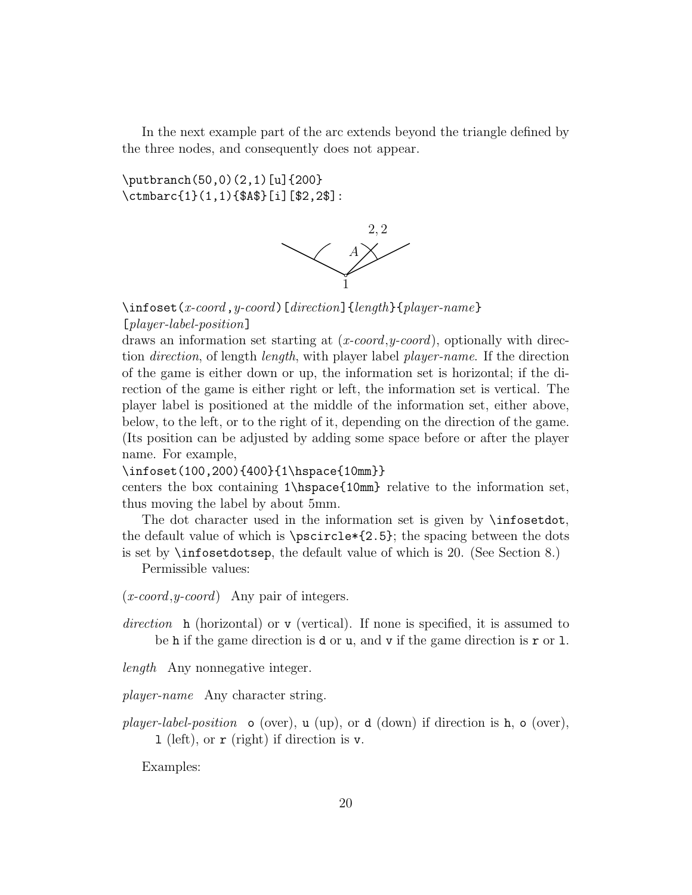In the next example part of the arc extends beyond the triangle defined by the three nodes, and consequently does not appear.

\putbranch(50,0)(2,1)[u]{200} \ctmbarc{1}(1,1){\$A\$}[i][\$2,2\$]:



 $\infty$ infoset(x-coord,y-coord)[direction]{length}{player-name} [player-label-position]

draws an information set starting at  $(x\text{-}coord, y\text{-}coord)$ , optionally with direction *direction*, of length *length*, with player label *player-name*. If the direction of the game is either down or up, the information set is horizontal; if the direction of the game is either right or left, the information set is vertical. The player label is positioned at the middle of the information set, either above, below, to the left, or to the right of it, depending on the direction of the game. (Its position can be adjusted by adding some space before or after the player name. For example,

# \infoset(100,200){400}{1\hspace{10mm}}

centers the box containing 1\hspace{10mm} relative to the information set, thus moving the label by about 5mm.

The dot character used in the information set is given by **\infosetdot**, the default value of which is  $\text{?2.5}$ ; the spacing between the dots is set by \infosetdotsep, the default value of which is 20. (See Section 8.)

Permissible values:

- $(x\text{-}coord, y\text{-}coord)$  Any pair of integers.
- direction h (horizontal) or v (vertical). If none is specified, it is assumed to be h if the game direction is d or u, and v if the game direction is  $r$  or 1.
- length Any nonnegative integer.

player-name Any character string.

player-label-position  $\circ$  (over), u (up), or d (down) if direction is h,  $\circ$  (over), l (left), or r (right) if direction is v.

Examples: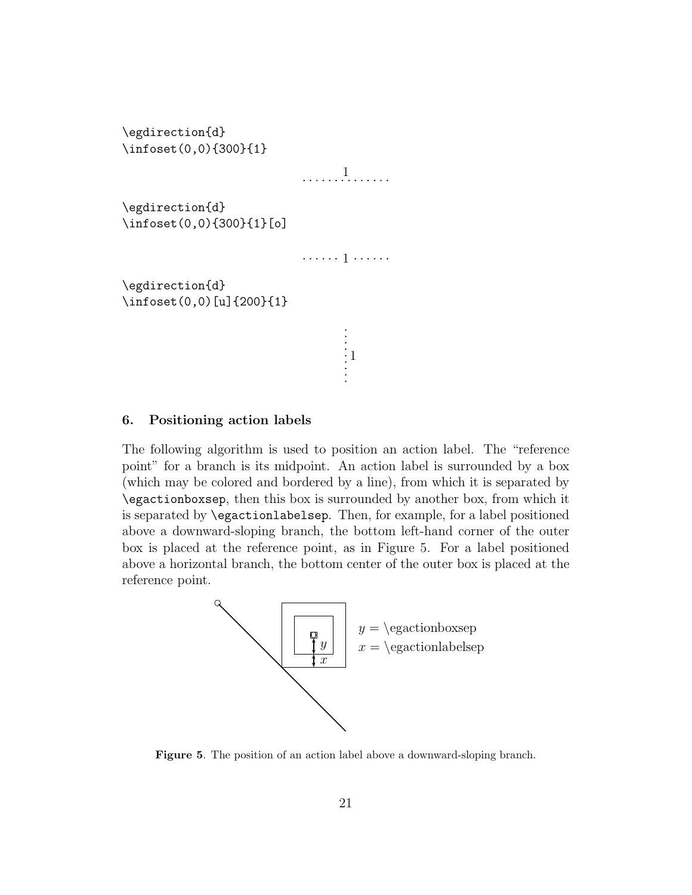```
\egdirection{d}
\infoset(0,0){300}{1}
                                         1. . . . . . . . . . . . . .
\egdirection{d}
\infoset(0,0){300}{1}[o]
                                         . . . . . . 1 . . . . . .
\egdirection{d}
\infoset(0,0)[u]{200}{1}
                                                   \begin{array}{c} \vdots \\ \vdots \\ \vdots \end{array}
```
# 6. Positioning action labels

The following algorithm is used to position an action label. The "reference point" for a branch is its midpoint. An action label is surrounded by a box (which may be colored and bordered by a line), from which it is separated by \egactionboxsep, then this box is surrounded by another box, from which it is separated by \egactionlabelsep. Then, for example, for a label positioned above a downward-sloping branch, the bottom left-hand corner of the outer box is placed at the reference point, as in Figure 5. For a label positioned above a horizontal branch, the bottom center of the outer box is placed at the reference point.



Figure 5. The position of an action label above a downward-sloping branch.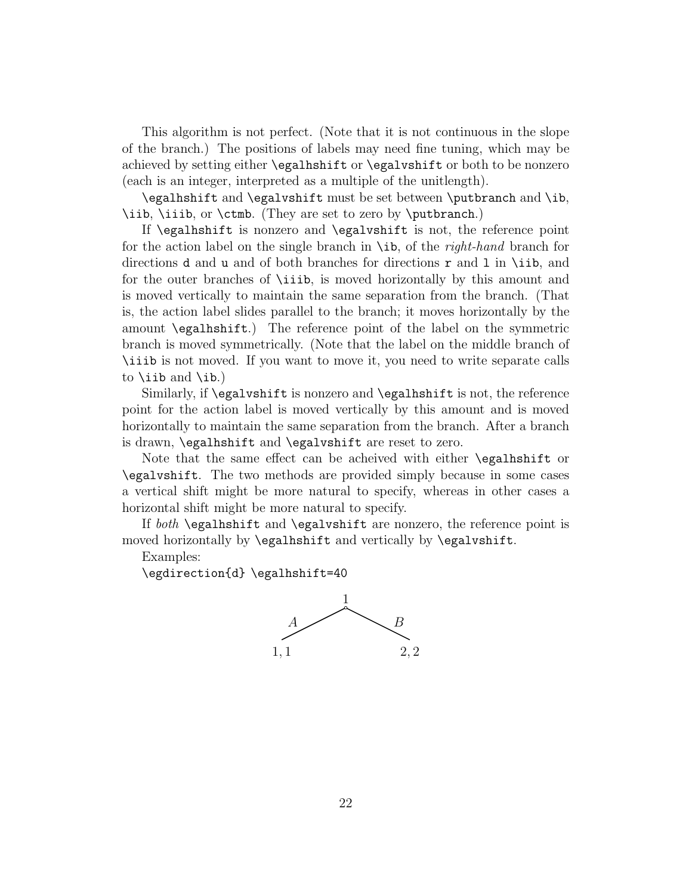This algorithm is not perfect. (Note that it is not continuous in the slope of the branch.) The positions of labels may need fine tuning, which may be achieved by setting either \egalhshift or \egalvshift or both to be nonzero (each is an integer, interpreted as a multiple of the unitlength).

\egalhshift and \egalvshift must be set between \putbranch and \ib, \iib, \iiib, or \ctmb. (They are set to zero by \putbranch.)

If \egalhshift is nonzero and \egalvshift is not, the reference point for the action label on the single branch in  $\iota$  ib, of the *right-hand* branch for directions **d** and **u** and of both branches for directions **r** and **l** in \iib, and for the outer branches of \iiib, is moved horizontally by this amount and is moved vertically to maintain the same separation from the branch. (That is, the action label slides parallel to the branch; it moves horizontally by the amount \egalhshift.) The reference point of the label on the symmetric branch is moved symmetrically. (Note that the label on the middle branch of \iiib is not moved. If you want to move it, you need to write separate calls to \iib and \ib.)

Similarly, if \egalvshift is nonzero and \egalhshift is not, the reference point for the action label is moved vertically by this amount and is moved horizontally to maintain the same separation from the branch. After a branch is drawn, \egalhshift and \egalvshift are reset to zero.

Note that the same effect can be acheived with either \egalhshift or \egalvshift. The two methods are provided simply because in some cases a vertical shift might be more natural to specify, whereas in other cases a horizontal shift might be more natural to specify.

If both \egalhshift and \egalvshift are nonzero, the reference point is moved horizontally by \egalhshift and vertically by \egalvshift.

Examples:

\egdirection{d} \egalhshift=40

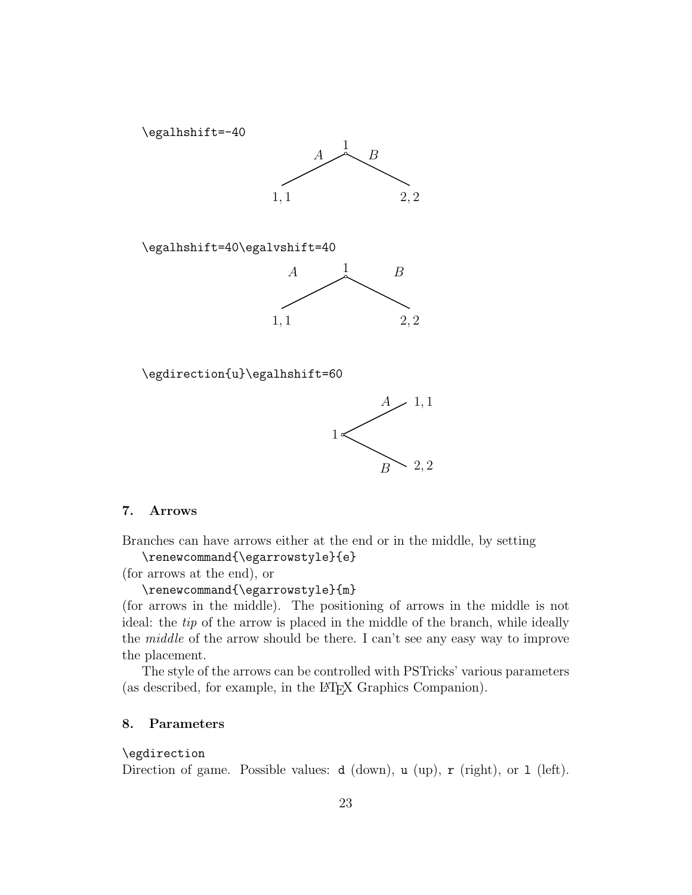

# 7. Arrows

Branches can have arrows either at the end or in the middle, by setting \renewcommand{\egarrowstyle}{e}

1

(for arrows at the end), or

\renewcommand{\egarrowstyle}{m}

(for arrows in the middle). The positioning of arrows in the middle is not ideal: the tip of the arrow is placed in the middle of the branch, while ideally the middle of the arrow should be there. I can't see any easy way to improve the placement.

B 2, 2

The style of the arrows can be controlled with PSTricks' various parameters (as described, for example, in the L<sup>A</sup>TEX Graphics Companion).

#### 8. Parameters

### \egdirection

Direction of game. Possible values:  $d$  (down),  $u$  (up),  $r$  (right), or  $1$  (left).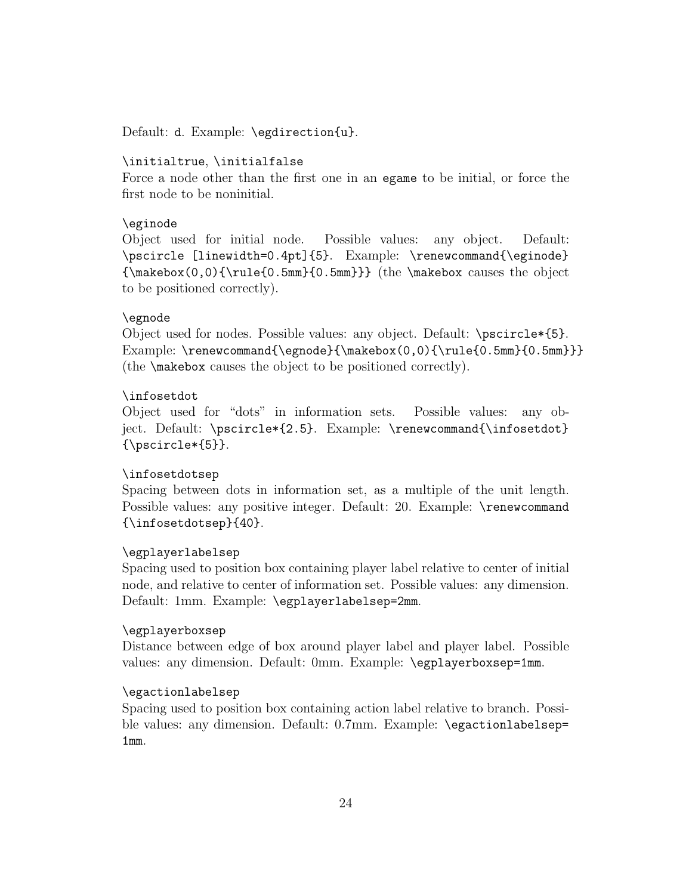Default: d. Example: \egdirection{u}.

# \initialtrue, \initialfalse

Force a node other than the first one in an egame to be initial, or force the first node to be noninitial.

# \eginode

Object used for initial node. Possible values: any object. Default: \pscircle [linewidth=0.4pt]{5}. Example: \renewcommand{\eginode}  ${\mathbf{0,0}\{\rule{0pt}{0.5mm}\{0.5mm\}\}$  (the \makebox causes the object to be positioned correctly).

# \egnode

Object used for nodes. Possible values: any object. Default: \pscircle\*{5}. Example: \renewcommand{\egnode}{\makebox(0,0){\rule{0.5mm}{0.5mm}}} (the \makebox causes the object to be positioned correctly).

#### \infosetdot

Object used for "dots" in information sets. Possible values: any object. Default: \pscircle\*{2.5}. Example: \renewcommand{\infosetdot}  ${\text{5}}$ .

# \infosetdotsep

Spacing between dots in information set, as a multiple of the unit length. Possible values: any positive integer. Default: 20. Example: \renewcommand {\infosetdotsep}{40}.

# \egplayerlabelsep

Spacing used to position box containing player label relative to center of initial node, and relative to center of information set. Possible values: any dimension. Default: 1mm. Example: \egplayerlabelsep=2mm.

# \egplayerboxsep

Distance between edge of box around player label and player label. Possible values: any dimension. Default: 0mm. Example: \egplayerboxsep=1mm.

# \egactionlabelsep

Spacing used to position box containing action label relative to branch. Possible values: any dimension. Default: 0.7mm. Example: \egactionlabelsep= 1mm.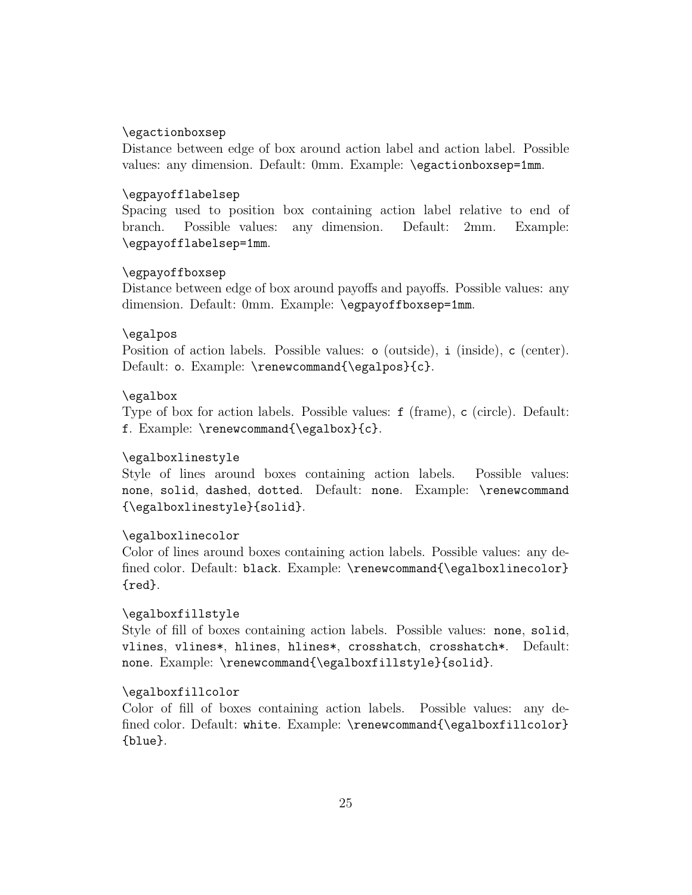# \egactionboxsep

Distance between edge of box around action label and action label. Possible values: any dimension. Default: 0mm. Example: \egactionboxsep=1mm.

# \egpayofflabelsep

Spacing used to position box containing action label relative to end of branch. Possible values: any dimension. Default: 2mm. Example: \egpayofflabelsep=1mm.

# \egpayoffboxsep

Distance between edge of box around payoffs and payoffs. Possible values: any dimension. Default: 0mm. Example: \egpayoffboxsep=1mm.

# \egalpos

Position of action labels. Possible values:  $\circ$  (outside),  $\circ$  (center). Default: o. Example: \renewcommand{\egalpos}{c}.

#### \egalbox

Type of box for action labels. Possible values: f (frame), c (circle). Default: f. Example: \renewcommand{\egalbox}{c}.

# \egalboxlinestyle

Style of lines around boxes containing action labels. Possible values: none, solid, dashed, dotted. Default: none. Example: \renewcommand {\egalboxlinestyle}{solid}.

## \egalboxlinecolor

Color of lines around boxes containing action labels. Possible values: any defined color. Default: black. Example: \renewcommand{\egalboxlinecolor} {red}.

### \egalboxfillstyle

Style of fill of boxes containing action labels. Possible values: none, solid, vlines, vlines\*, hlines, hlines\*, crosshatch, crosshatch\*. Default: none. Example: \renewcommand{\egalboxfillstyle}{solid}.

# \egalboxfillcolor

Color of fill of boxes containing action labels. Possible values: any defined color. Default: white. Example: \renewcommand{\egalboxfillcolor} {blue}.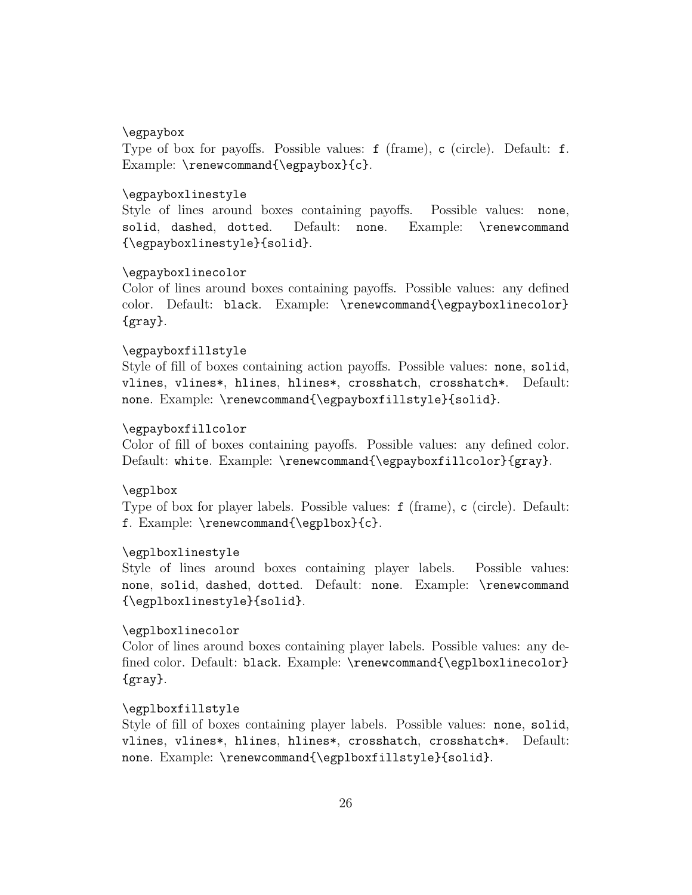# \egpaybox

Type of box for payoffs. Possible values: f (frame), c (circle). Default: f. Example: \renewcommand{\egpaybox}{c}.

# \egpayboxlinestyle

Style of lines around boxes containing payoffs. Possible values: none, solid, dashed, dotted. Default: none. Example: \renewcommand {\egpayboxlinestyle}{solid}.

# \egpayboxlinecolor

Color of lines around boxes containing payoffs. Possible values: any defined color. Default: black. Example: \renewcommand{\egpayboxlinecolor} {gray}.

# \egpayboxfillstyle

Style of fill of boxes containing action payoffs. Possible values: none, solid, vlines, vlines\*, hlines, hlines\*, crosshatch, crosshatch\*. Default: none. Example: \renewcommand{\egpayboxfillstyle}{solid}.

### \egpayboxfillcolor

Color of fill of boxes containing payoffs. Possible values: any defined color. Default: white. Example: \renewcommand{\egpayboxfillcolor}{gray}.

### \egplbox

Type of box for player labels. Possible values: f (frame), c (circle). Default: f. Example: \renewcommand{\egplbox}{c}.

# \egplboxlinestyle

Style of lines around boxes containing player labels. Possible values: none, solid, dashed, dotted. Default: none. Example: \renewcommand {\egplboxlinestyle}{solid}.

### \egplboxlinecolor

Color of lines around boxes containing player labels. Possible values: any defined color. Default: black. Example: \renewcommand{\egplboxlinecolor} {gray}.

# \egplboxfillstyle

Style of fill of boxes containing player labels. Possible values: none, solid, vlines, vlines\*, hlines, hlines\*, crosshatch, crosshatch\*. Default: none. Example: \renewcommand{\egplboxfillstyle}{solid}.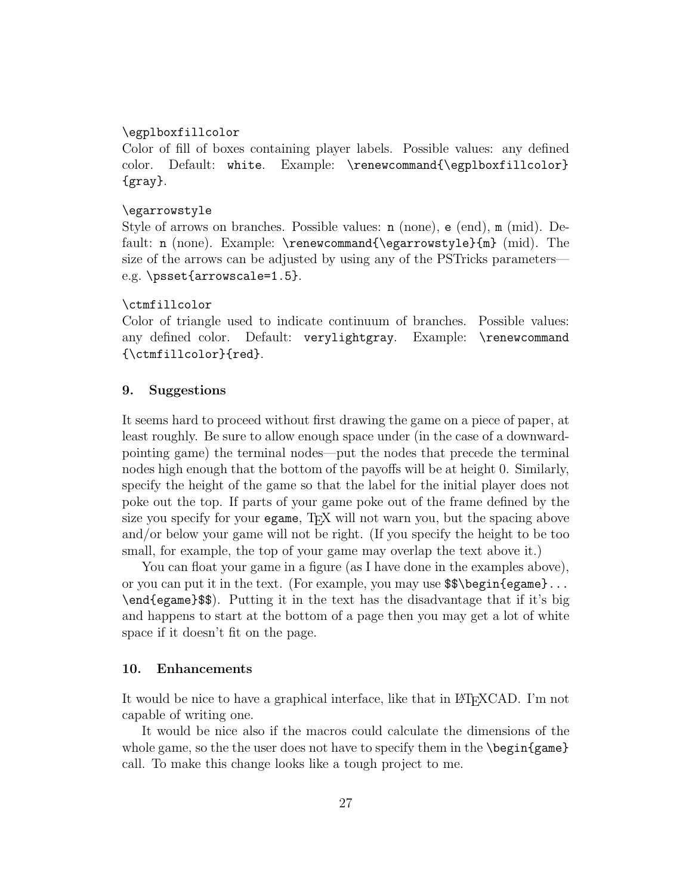# \egplboxfillcolor

Color of fill of boxes containing player labels. Possible values: any defined color. Default: white. Example: \renewcommand{\egplboxfillcolor} {gray}.

# \egarrowstyle

Style of arrows on branches. Possible values: n (none), e (end), m (mid). Default: n (none). Example: \renewcommand{\egarrowstyle}{m} (mid). The size of the arrows can be adjusted by using any of the PSTricks parameters e.g. \psset{arrowscale=1.5}.

#### \ctmfillcolor

Color of triangle used to indicate continuum of branches. Possible values: any defined color. Default: verylightgray. Example: \renewcommand {\ctmfillcolor}{red}.

# 9. Suggestions

It seems hard to proceed without first drawing the game on a piece of paper, at least roughly. Be sure to allow enough space under (in the case of a downwardpointing game) the terminal nodes—put the nodes that precede the terminal nodes high enough that the bottom of the payoffs will be at height 0. Similarly, specify the height of the game so that the label for the initial player does not poke out the top. If parts of your game poke out of the frame defined by the size you specify for your egame, TEX will not warn you, but the spacing above and/or below your game will not be right. (If you specify the height to be too small, for example, the top of your game may overlap the text above it.)

You can float your game in a figure (as I have done in the examples above), or you can put it in the text. (For example, you may use \$\$\begin{egame}... \end{egame}\$\$). Putting it in the text has the disadvantage that if it's big and happens to start at the bottom of a page then you may get a lot of white space if it doesn't fit on the page.

### 10. Enhancements

It would be nice to have a graphical interface, like that in LAT<sub>EX</sub>CAD. I'm not capable of writing one.

It would be nice also if the macros could calculate the dimensions of the whole game, so the the user does not have to specify them in the  $\begin{cases}$ call. To make this change looks like a tough project to me.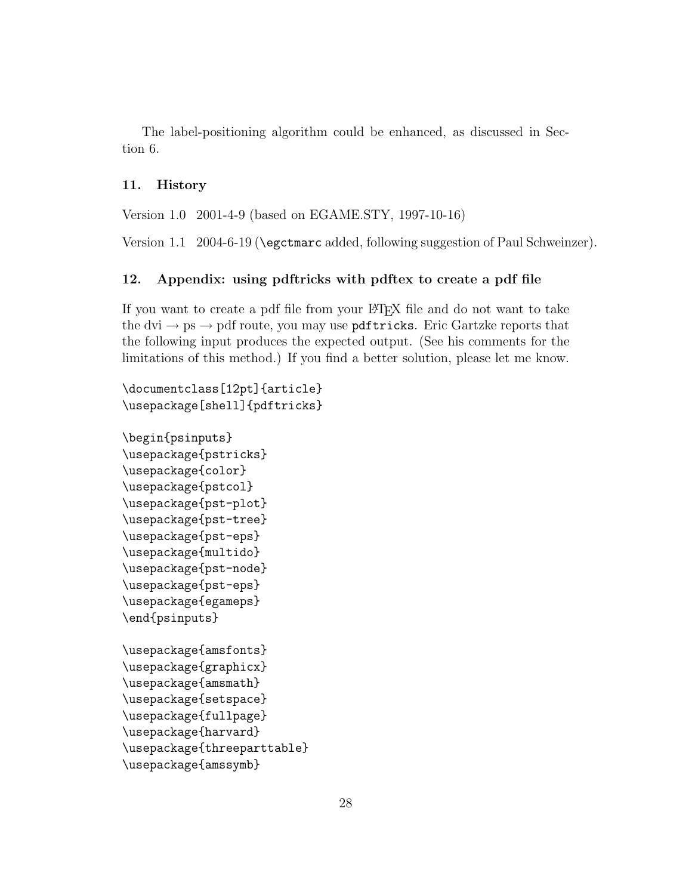The label-positioning algorithm could be enhanced, as discussed in Section 6.

# 11. History

Version 1.0 2001-4-9 (based on EGAME.STY, 1997-10-16)

Version 1.1 2004-6-19 (\egctmarc added, following suggestion of Paul Schweinzer).

# 12. Appendix: using pdftricks with pdftex to create a pdf file

If you want to create a pdf file from your L<sup>A</sup>TEX file and do not want to take the dvi  $\rightarrow$  ps  $\rightarrow$  pdf route, you may use **pdftricks**. Eric Gartzke reports that the following input produces the expected output. (See his comments for the limitations of this method.) If you find a better solution, please let me know.

```
\documentclass[12pt]{article}
\usepackage[shell]{pdftricks}
\begin{psinputs}
\usepackage{pstricks}
\usepackage{color}
\usepackage{pstcol}
\usepackage{pst-plot}
\usepackage{pst-tree}
\usepackage{pst-eps}
\usepackage{multido}
\usepackage{pst-node}
\usepackage{pst-eps}
\usepackage{egameps}
\end{psinputs}
\usepackage{amsfonts}
\usepackage{graphicx}
\usepackage{amsmath}
\usepackage{setspace}
\usepackage{fullpage}
\usepackage{harvard}
\usepackage{threeparttable}
\usepackage{amssymb}
```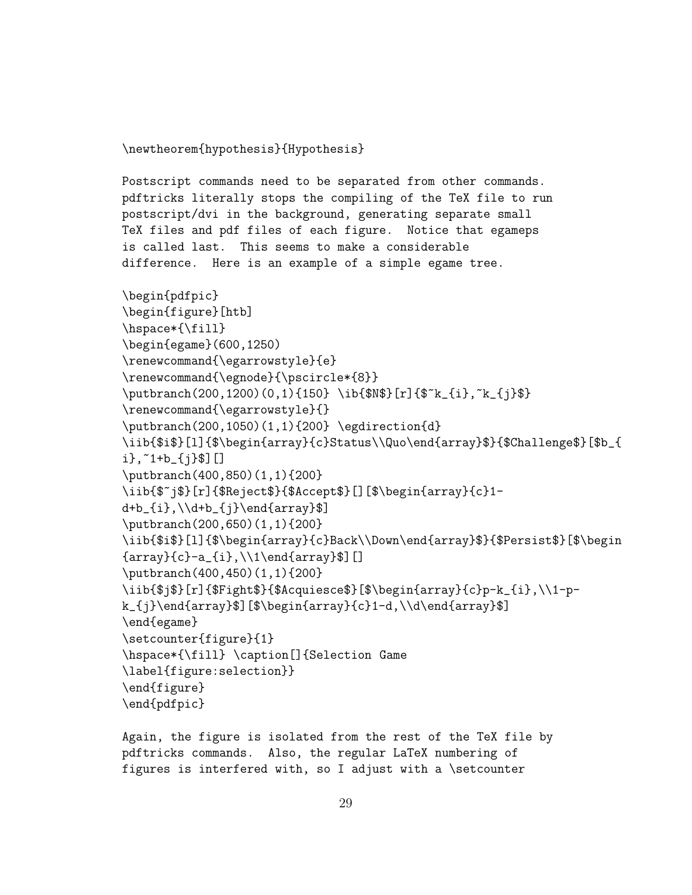\newtheorem{hypothesis}{Hypothesis}

Postscript commands need to be separated from other commands. pdftricks literally stops the compiling of the TeX file to run postscript/dvi in the background, generating separate small TeX files and pdf files of each figure. Notice that egameps is called last. This seems to make a considerable difference. Here is an example of a simple egame tree.

```
\begin{pdfpic}
\begin{figure}[htb]
\hspace*{\fill}
\begin{egame}(600,1250)
\renewcommand{\egarrowstyle}{e}
\renewcommand{\egnode}{\pscircle*{8}}
\putbranch(200,1200)(0,1){150} \ib{$N$}[r]{$~k_{i},~k_{j}$}
\renewcommand{\egarrowstyle}{}
\putbranch(200,1050)(1,1){200} \egdirection{d}
\iib{$i$}[1]{$\begin{array}{c}Status\\Quo\end{array}$}{$Challenge$}[$b_{
i},~1+b_{j}$][]
\putbranch(400,850)(1,1){200}
\iib{$~j$}[r]{$Reject$}{$Accept$}[][$\begin{array}{c}1-
d+b_{i},\{\d+ b_{j}\}\end{array}\putbranch(200,650)(1,1){200}
\iib{$i$}[1]{$\begin{array}{c}Back\\Down\end{array}$}{$Persist$}[$\begin
{array}{c}-a_{i},\\1\end{array}$][]
\putbranch(400,450)(1,1){200}
\iib{$j$}[r]{$Fight$}{$Acquiesce$}[$\begin{array}{c}p-k_{i},\\1-p-
k_{j}\end{array}$][$\begin{array}{c}1-d,\\d\end{array}$]
\end{egame}
\setcounter{figure}{1}
\hspace*{\fill} \caption[]{Selection Game
\label{figure:selection}}
\end{figure}
\end{pdfpic}
```
Again, the figure is isolated from the rest of the TeX file by pdftricks commands. Also, the regular LaTeX numbering of figures is interfered with, so I adjust with a \setcounter